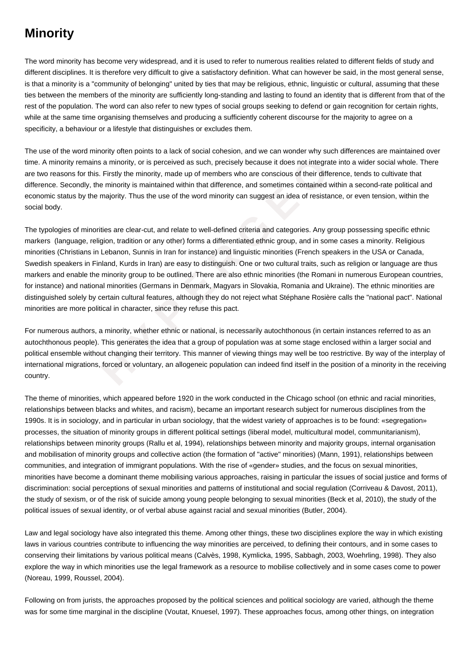## **Minority**

The word minority has become very widespread, and it is used to refer to numerous realities related to different fields of study and different disciplines. It is therefore very difficult to give a satisfactory definition. What can however be said, in the most general sense, is that a minority is a "community of belonging" united by ties that may be religious, ethnic, linguistic or cultural, assuming that these ties between the members of the minority are sufficiently long-standing and lasting to found an identity that is different from that of the rest of the population. The word can also refer to new types of social groups seeking to defend or gain recognition for certain rights, while at the same time organising themselves and producing a sufficiently coherent discourse for the majority to agree on a specificity, a behaviour or a lifestyle that distinguishes or excludes them.

The use of the word minority often points to a lack of social cohesion, and we can wonder why such differences are maintained over time. A minority remains a minority, or is perceived as such, precisely because it does not integrate into a wider social whole. There are two reasons for this. Firstly the minority, made up of members who are conscious of their difference, tends to cultivate that difference. Secondly, the minority is maintained within that difference, and sometimes contained within a second-rate political and economic status by the majority. Thus the use of the word minority can suggest an idea of resistance, or even tension, within the social body.

emains a minority, or is perceived as such, precisely because it does not integrate in<br>or this. Firstly the minority, made up of members who are conscious of their different<br>dly, the minority is maintained within that diff The typologies of minorities are clear-cut, and relate to well-defined criteria and categories. Any group possessing specific ethnic markers (language, religion, tradition or any other) forms a differentiated ethnic group, and in some cases a minority. Religious minorities (Christians in Lebanon, Sunnis in Iran for instance) and linguistic minorities (French speakers in the USA or Canada, Swedish speakers in Finland, Kurds in Iran) are easy to distinguish. One or two cultural traits, such as religion or language are thus markers and enable the minority group to be outlined. There are also ethnic minorities (the Romani in numerous European countries, for instance) and national minorities (Germans in Denmark, Magyars in Slovakia, Romania and Ukraine). The ethnic minorities are distinguished solely by certain cultural features, although they do not reject what Stéphane Rosière calls the "national pact". National minorities are more political in character, since they refuse this pact.

For numerous authors, a minority, whether ethnic or national, is necessarily autochthonous (in certain instances referred to as an autochthonous people). This generates the idea that a group of population was at some stage enclosed within a larger social and political ensemble without changing their territory. This manner of viewing things may well be too restrictive. By way of the interplay of international migrations, forced or voluntary, an allogeneic population can indeed find itself in the position of a minority in the receiving country.

The theme of minorities, which appeared before 1920 in the work conducted in the Chicago school (on ethnic and racial minorities, relationships between blacks and whites, and racism), became an important research subject for numerous disciplines from the 1990s. It is in sociology, and in particular in urban sociology, that the widest variety of approaches is to be found: «segregation» processes, the situation of minority groups in different political settings (liberal model, multicultural model, communitarianism), relationships between minority groups (Rallu et al, 1994), relationships between minority and majority groups, internal organisation and mobilisation of minority groups and collective action (the formation of "active" minorities) (Mann, 1991), relationships between communities, and integration of immigrant populations. With the rise of «gender» studies, and the focus on sexual minorities, minorities have become a dominant theme mobilising various approaches, raising in particular the issues of social justice and forms of discrimination: social perceptions of sexual minorities and patterns of institutional and social regulation (Corriveau & Davost, 2011), the study of sexism, or of the risk of suicide among young people belonging to sexual minorities (Beck et al, 2010), the study of the political issues of sexual identity, or of verbal abuse against racial and sexual minorities (Butler, 2004).

Law and legal sociology have also integrated this theme. Among other things, these two disciplines explore the way in which existing laws in various countries contribute to influencing the way minorities are perceived, to defining their contours, and in some cases to conserving their limitations by various political means (Calvès, 1998, Kymlicka, 1995, Sabbagh, 2003, Woehrling, 1998). They also explore the way in which minorities use the legal framework as a resource to mobilise collectively and in some cases come to power (Noreau, 1999, Roussel, 2004).

Following on from jurists, the approaches proposed by the political sciences and political sociology are varied, although the theme was for some time marginal in the discipline (Voutat, Knuesel, 1997). These approaches focus, among other things, on integration